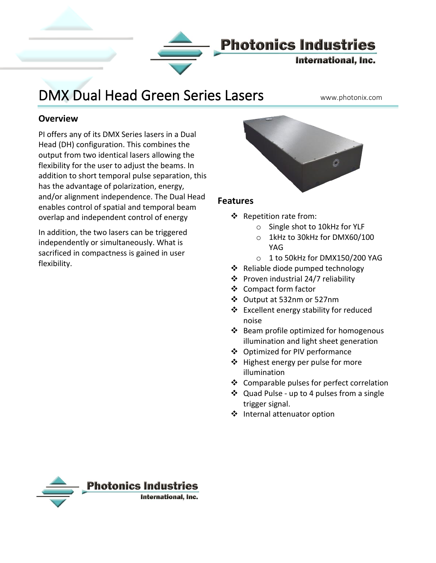

# DMX Dual Head Green Series Lasers www.photonix.com

#### **Overview**

PI offers any of its DMX Series lasers in a Dual Head (DH) configuration. This combines the output from two identical lasers allowing the flexibility for the user to adjust the beams. In addition to short temporal pulse separation, this has the advantage of polarization, energy, and/or alignment independence. The Dual Head enables control of spatial and temporal beam overlap and independent control of energy

In addition, the two lasers can be triggered independently or simultaneously. What is sacrificed in compactness is gained in user flexibility.



#### **Features**

- ❖ Repetition rate from:
	- o Single shot to 10kHz for YLF
	- o 1kHz to 30kHz for DMX60/100 YAG
	- o 1 to 50kHz for DMX150/200 YAG
- ❖ Reliable diode pumped technology
- ❖ Proven industrial 24/7 reliability
- ❖ Compact form factor
- ❖ Output at 532nm or 527nm
- ❖ Excellent energy stability for reduced noise
- ❖ Beam profile optimized for homogenous illumination and light sheet generation
- ❖ Optimized for PIV performance
- ❖ Highest energy per pulse for more illumination
- ❖ Comparable pulses for perfect correlation
- ❖ Quad Pulse up to 4 pulses from a single trigger signal.
- ❖ Internal attenuator option

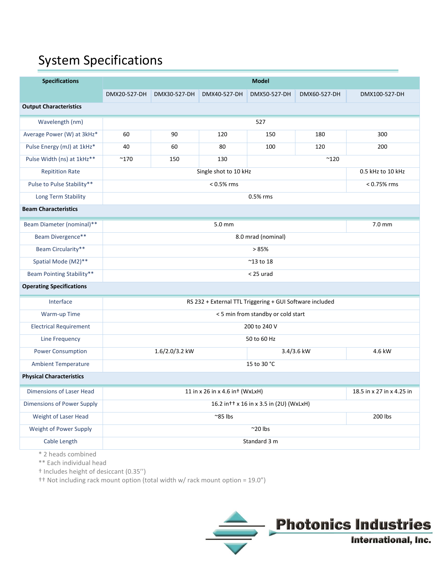## System Specifications

| <b>Specifications</b>             | <b>Model</b>                                             |                             |              |              |              |                   |  |  |  |
|-----------------------------------|----------------------------------------------------------|-----------------------------|--------------|--------------|--------------|-------------------|--|--|--|
|                                   | DMX20-527-DH                                             | DMX30-527-DH                | DMX40-527-DH | DMX50-527-DH | DMX60-527-DH | DMX100-527-DH     |  |  |  |
| <b>Output Characteristics</b>     |                                                          |                             |              |              |              |                   |  |  |  |
| Wavelength (nm)                   | 527                                                      |                             |              |              |              |                   |  |  |  |
| Average Power (W) at 3kHz*        | 60                                                       | 90                          | 120          | 150          | 180          | 300               |  |  |  |
| Pulse Energy (mJ) at 1kHz*        | 40                                                       | 60                          | 80           | 100          | 120          | 200               |  |  |  |
| Pulse Width (ns) at 1kHz**        | $^{\sim}$ 170                                            | 150<br>130<br>$^{\sim}$ 120 |              |              |              |                   |  |  |  |
| <b>Repitition Rate</b>            | Single shot to 10 kHz                                    |                             |              |              |              | 0.5 kHz to 10 kHz |  |  |  |
| Pulse to Pulse Stability**        |                                                          | < 0.75% rms                 |              |              |              |                   |  |  |  |
| Long Term Stability               | 0.5% rms                                                 |                             |              |              |              |                   |  |  |  |
| <b>Beam Characteristics</b>       |                                                          |                             |              |              |              |                   |  |  |  |
| Beam Diameter (nominal)**         |                                                          | $7.0 \text{ mm}$            |              |              |              |                   |  |  |  |
| Beam Divergence**                 | 8.0 mrad (nominal)                                       |                             |              |              |              |                   |  |  |  |
| Beam Circularity**                | >85%                                                     |                             |              |              |              |                   |  |  |  |
| Spatial Mode (M2)**               | $^{\sim}$ 13 to 18                                       |                             |              |              |              |                   |  |  |  |
| <b>Beam Pointing Stability**</b>  | $<$ 25 urad                                              |                             |              |              |              |                   |  |  |  |
| <b>Operating Specifications</b>   |                                                          |                             |              |              |              |                   |  |  |  |
| Interface                         | RS 232 + External TTL Triggering + GUI Software included |                             |              |              |              |                   |  |  |  |
| Warm-up Time                      | < 5 min from standby or cold start                       |                             |              |              |              |                   |  |  |  |
| <b>Electrical Requirement</b>     | 200 to 240 V                                             |                             |              |              |              |                   |  |  |  |
| Line Frequency                    | 50 to 60 Hz                                              |                             |              |              |              |                   |  |  |  |
| <b>Power Consumption</b>          |                                                          | 1.6/2.0/3.2 kW              |              | 3.4/3.6 kW   |              | 4.6 kW            |  |  |  |
| <b>Ambient Temperature</b>        | 15 to 30 °C                                              |                             |              |              |              |                   |  |  |  |
| <b>Physical Characteristics</b>   |                                                          |                             |              |              |              |                   |  |  |  |
| Dimensions of Laser Head          |                                                          | 18.5 in x 27 in x 4.25 in   |              |              |              |                   |  |  |  |
| <b>Dimensions of Power Supply</b> | 16.2 in + + x 16 in x 3.5 in (2U) (WxLxH)                |                             |              |              |              |                   |  |  |  |
| Weight of Laser Head              |                                                          | 200 lbs                     |              |              |              |                   |  |  |  |
| Weight of Power Supply            | $^{\sim}$ 20 lbs                                         |                             |              |              |              |                   |  |  |  |
| Cable Length                      | Standard 3 m                                             |                             |              |              |              |                   |  |  |  |
| * 2 heads combined                |                                                          |                             |              |              |              |                   |  |  |  |

\*\* Each individual head

† Includes height of desiccant (0.35'')

†† Not including rack mount option (total width w/ rack mount option = 19.0")

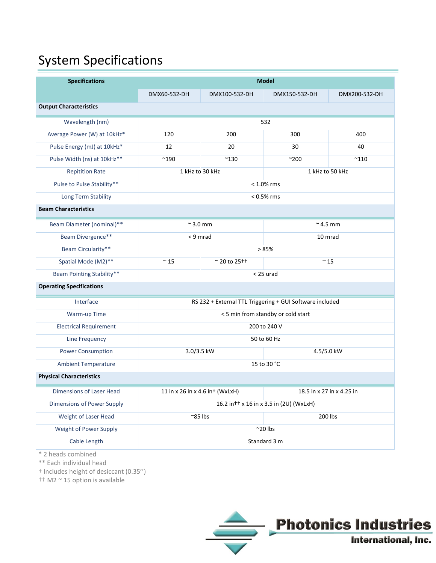## System Specifications

| <b>Specifications</b>             | <b>Model</b>                                             |                                    |                                           |               |  |  |  |  |  |
|-----------------------------------|----------------------------------------------------------|------------------------------------|-------------------------------------------|---------------|--|--|--|--|--|
|                                   | DMX60-532-DH                                             | DMX100-532-DH                      | DMX150-532-DH                             | DMX200-532-DH |  |  |  |  |  |
| <b>Output Characteristics</b>     |                                                          |                                    |                                           |               |  |  |  |  |  |
| Wavelength (nm)                   | 532                                                      |                                    |                                           |               |  |  |  |  |  |
| Average Power (W) at 10kHz*       | 120                                                      | 200                                | 300                                       | 400           |  |  |  |  |  |
| Pulse Energy (mJ) at 10kHz*       | 12                                                       | 20                                 | 30                                        | 40            |  |  |  |  |  |
| Pulse Width (ns) at 10kHz**       | $^{\sim}$ 190                                            | $^{\sim}$ 130                      | $^{\sim}200$                              | $^{\sim}$ 110 |  |  |  |  |  |
| <b>Repitition Rate</b>            | 1 kHz to 30 kHz                                          |                                    | 1 kHz to 50 kHz                           |               |  |  |  |  |  |
| Pulse to Pulse Stability**        | $< 1.0\%$ rms                                            |                                    |                                           |               |  |  |  |  |  |
| Long Term Stability               | $< 0.5\%$ rms                                            |                                    |                                           |               |  |  |  |  |  |
| <b>Beam Characteristics</b>       |                                                          |                                    |                                           |               |  |  |  |  |  |
| Beam Diameter (nominal)**         | $\approx$ 3.0 mm                                         |                                    | $~^{\sim}$ 4.5 mm                         |               |  |  |  |  |  |
| Beam Divergence**                 | < 9 mrad                                                 |                                    | 10 mrad                                   |               |  |  |  |  |  |
| Beam Circularity**                | >85%                                                     |                                    |                                           |               |  |  |  |  |  |
| Spatial Mode (M2)**               | $\sim$ 15                                                | $~^{\circ}$ 20 to 25 <sup>++</sup> | $\sim$ 15                                 |               |  |  |  |  |  |
| <b>Beam Pointing Stability**</b>  |                                                          |                                    | $<$ 25 urad                               |               |  |  |  |  |  |
| <b>Operating Specifications</b>   |                                                          |                                    |                                           |               |  |  |  |  |  |
| Interface                         | RS 232 + External TTL Triggering + GUI Software included |                                    |                                           |               |  |  |  |  |  |
| Warm-up Time                      | < 5 min from standby or cold start                       |                                    |                                           |               |  |  |  |  |  |
| <b>Electrical Requirement</b>     | 200 to 240 V                                             |                                    |                                           |               |  |  |  |  |  |
| Line Frequency                    | 50 to 60 Hz                                              |                                    |                                           |               |  |  |  |  |  |
| <b>Power Consumption</b>          | 3.0/3.5 kW                                               |                                    | 4.5/5.0 kW                                |               |  |  |  |  |  |
| <b>Ambient Temperature</b>        | 15 to 30 °C                                              |                                    |                                           |               |  |  |  |  |  |
| <b>Physical Characteristics</b>   |                                                          |                                    |                                           |               |  |  |  |  |  |
| Dimensions of Laser Head          | 11 in x 26 in x 4.6 in + (WxLxH)                         |                                    | 18.5 in x 27 in x 4.25 in                 |               |  |  |  |  |  |
| <b>Dimensions of Power Supply</b> |                                                          |                                    | 16.2 in + + x 16 in x 3.5 in (2U) (WxLxH) |               |  |  |  |  |  |
| Weight of Laser Head              |                                                          | $^{\sim}85$ lbs                    |                                           | 200 lbs       |  |  |  |  |  |
| Weight of Power Supply            | $^{\sim}$ 20 lbs                                         |                                    |                                           |               |  |  |  |  |  |
| Cable Length                      | Standard 3 m                                             |                                    |                                           |               |  |  |  |  |  |
| * 2 heads combined                |                                                          |                                    |                                           |               |  |  |  |  |  |

\*\* Each individual head

† Includes height of desiccant (0.35'')

†† M2 ~ 15 option is available